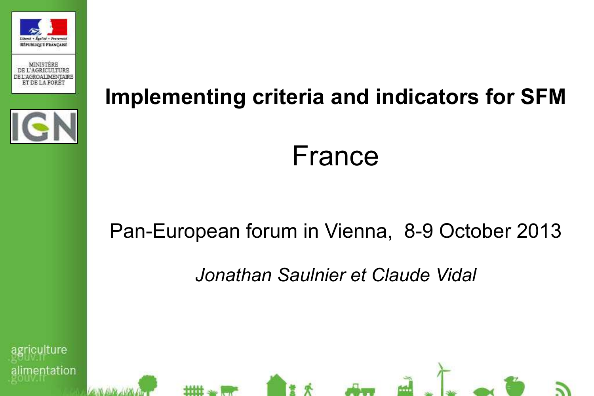





# **Implementing criteria and indicators for SFM**

#### France

#### Pan-European forum in Vienna, 8-9 October 2013

*Jonathan Saulnier et Claude Vidal*

culture entation

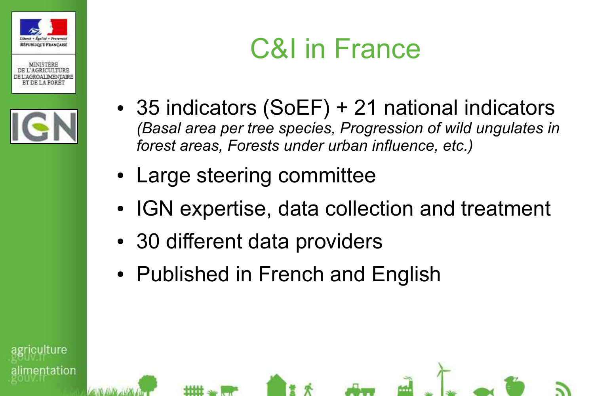





ilture

entation

## C&I in France

- 35 indicators (SoEF) + 21 national indicators *(Basal area per tree species, Progression of wild ungulates in forest areas, Forests under urban influence, etc.)*
- Large steering committee
- IGN expertise, data collection and treatment
- 30 different data providers
- Published in French and English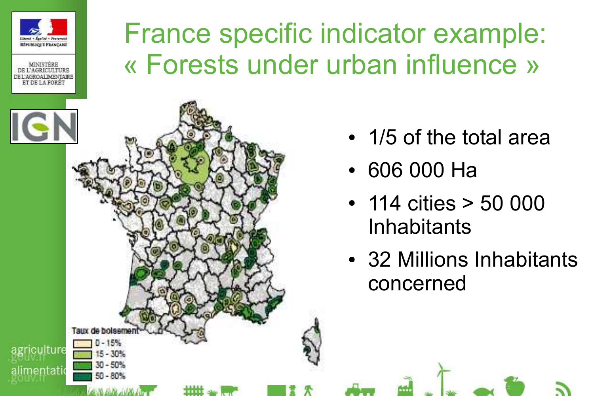



## France specific indicator example: « Forests under urban influence »



- 1/5 of the total area
- 606 000 Ha
- 114 cities > 50 000 **Inhabitants**
- 32 Millions Inhabitants concerned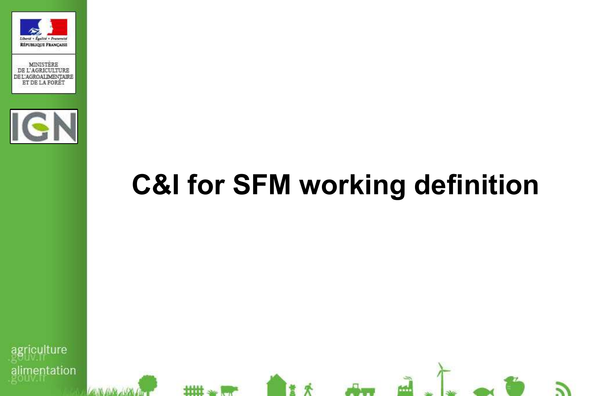





## **C&I for SFM working definition**

64H

**riculture** imentation

**titlit**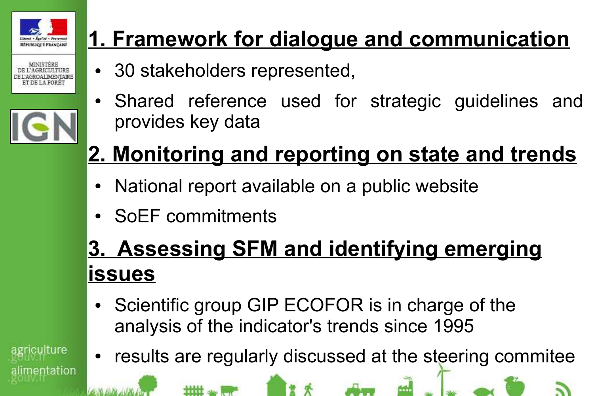

iculture

nentation

#### **1. Framework for dialogue and communication**

- 30 stakeholders represented,
- Shared reference used for strategic guidelines and provides key data

## **2. Monitoring and reporting on state and trends**

- National report available on a public website
- SoEF commitments

se ilitt

#### **3. Assessing SFM and identifying emerging issues**

- Scientific group GIP ECOFOR is in charge of the analysis of the indicator's trends since 1995
- results are regularly discussed at the steering commitee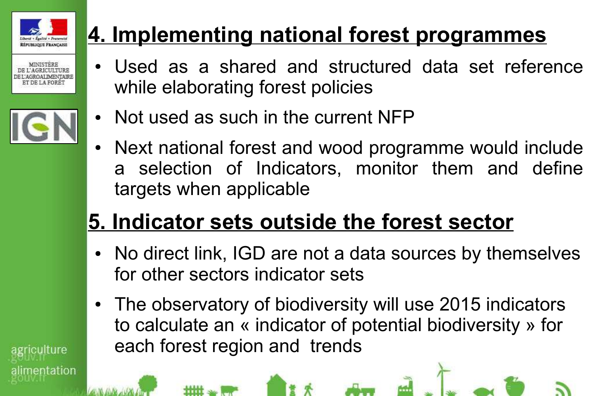

culture

entation

#### **4. Implementing national forest programmes**

- Used as a shared and structured data set reference while elaborating forest policies
- Not used as such in the current NFP
- Next national forest and wood programme would include a selection of Indicators, monitor them and define targets when applicable

### **5. Indicator sets outside the forest sector**

- No direct link, IGD are not a data sources by themselves for other sectors indicator sets
- The observatory of biodiversity will use 2015 indicators to calculate an « indicator of potential biodiversity » for each forest region and trends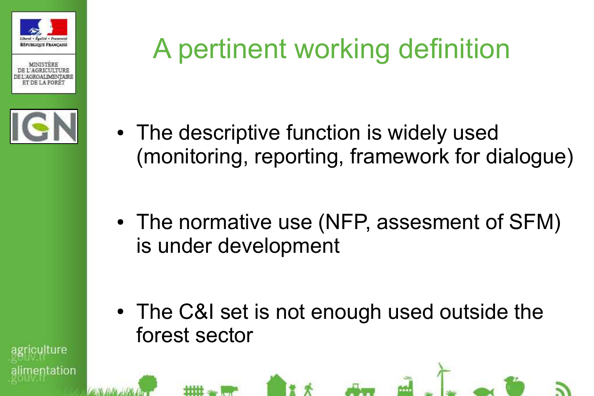





## A pertinent working definition

- The descriptive function is widely used (monitoring, reporting, framework for dialogue)
- The normative use (NFP, assesment of SFM) is under development

• The C&I set is not enough used outside the forest sector

ıltıre entation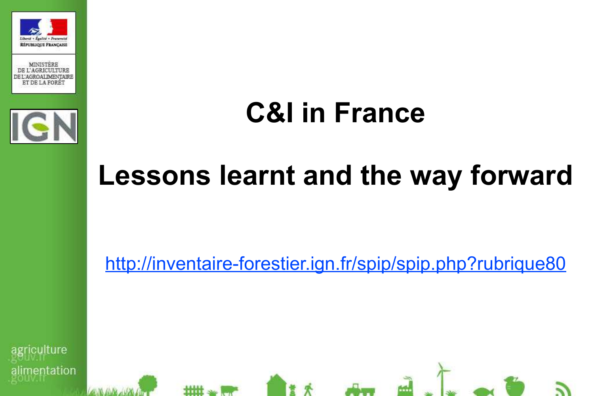



## **C&I in France**

## **Lessons learnt and the way forward**

http://inventaire-forestier.ign.fr/spip/spip.php?rubrique80

culture entation

mm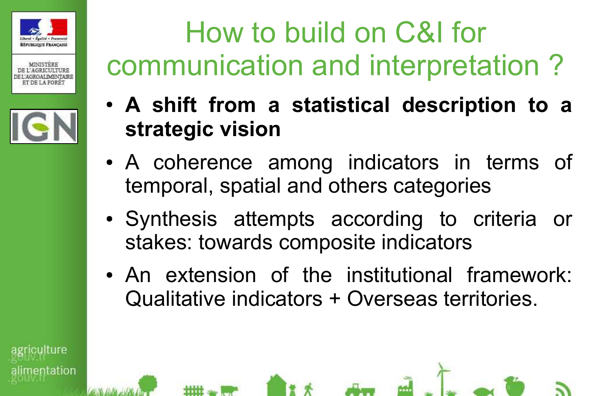





## How to build on C&I for communication and interpretation ?

- **A shift from a statistical description to a strategic vision**
- A coherence among indicators in terms of temporal, spatial and others categories
- Synthesis attempts according to criteria or stakes: towards composite indicators
- An extension of the institutional framework: Qualitative indicators + Overseas territories.